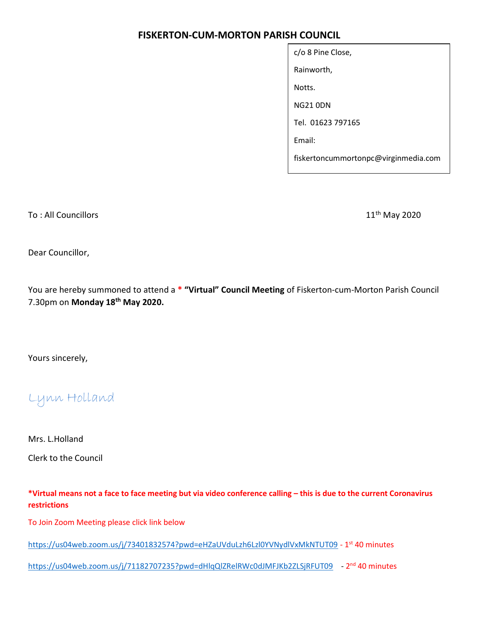# FISKERTON-CUM-MORTON PARISH COUNCIL

| c/o 8 Pine Close,                    |
|--------------------------------------|
| Rainworth,                           |
| Notts.                               |
| NG21 0DN                             |
| Tel. 01623 797165                    |
| Email:                               |
| fiskertoncummortonpc@virginmedia.com |

To : All Councillors 11<sup>th</sup> May 2020

Dear Councillor,

You are hereby summoned to attend a \* "Virtual" Council Meeting of Fiskerton-cum-Morton Parish Council 7.30pm on Monday 18<sup>th</sup> May 2020.

Yours sincerely,

Lynn Holland

Mrs. L.Holland Clerk to the Council

\*Virtual means not a face to face meeting but via video conference calling – this is due to the current Coronavirus restrictions

To Join Zoom Meeting please click link below

https://us04web.zoom.us/j/73401832574?pwd=eHZaUVduLzh6Lzl0YVNydlVxMkNTUT09 - 1<sup>st</sup> 40 minutes

https://us04web.zoom.us/j/71182707235?pwd=dHlqQlZRelRWc0dJMFJKb2ZLSjRFUT09 - 2<sup>nd</sup> 40 minutes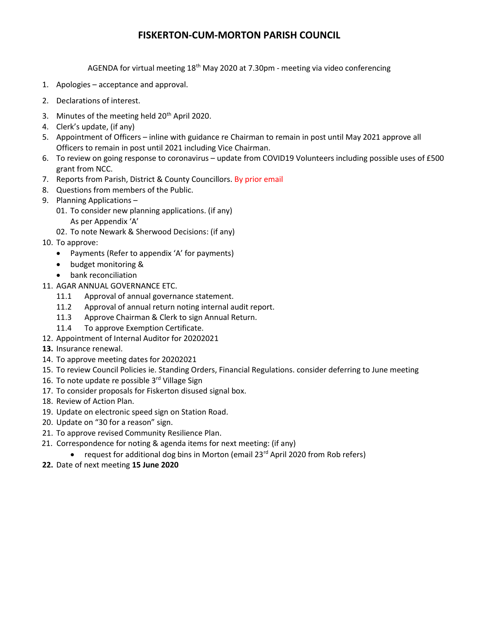## FISKERTON-CUM-MORTON PARISH COUNCIL

AGENDA for virtual meeting 18th May 2020 at 7.30pm - meeting via video conferencing

- 1. Apologies acceptance and approval.
- 2. Declarations of interest.
- 3. Minutes of the meeting held 20<sup>th</sup> April 2020.
- 4. Clerk's update, (if any)
- 5. Appointment of Officers inline with guidance re Chairman to remain in post until May 2021 approve all Officers to remain in post until 2021 including Vice Chairman.
- 6. To review on going response to coronavirus update from COVID19 Volunteers including possible uses of £500 grant from NCC.
- 7. Reports from Parish, District & County Councillors. By prior email
- 8. Questions from members of the Public.
- 9. Planning Applications
	- 01. To consider new planning applications. (if any) As per Appendix 'A'
	- 02. To note Newark & Sherwood Decisions: (if any)
- 10. To approve:
	- Payments (Refer to appendix 'A' for payments)
	- budget monitoring &
	- bank reconciliation
- 11. AGAR ANNUAL GOVERNANCE ETC.
	- 11.1 Approval of annual governance statement.
	- 11.2 Approval of annual return noting internal audit report.
	- 11.3 Approve Chairman & Clerk to sign Annual Return.
	- 11.4 To approve Exemption Certificate.
- 12. Appointment of Internal Auditor for 20202021
- 13. Insurance renewal.
- 14. To approve meeting dates for 20202021
- 15. To review Council Policies ie. Standing Orders, Financial Regulations. consider deferring to June meeting
- 16. To note update re possible 3rd Village Sign
- 17. To consider proposals for Fiskerton disused signal box.
- 18. Review of Action Plan.
- 19. Update on electronic speed sign on Station Road.
- 20. Update on "30 for a reason" sign.
- 21. To approve revised Community Resilience Plan.
- 21. Correspondence for noting & agenda items for next meeting: (if any)
	- request for additional dog bins in Morton (email 23 $rd$  April 2020 from Rob refers)
- 22. Date of next meeting 15 June 2020